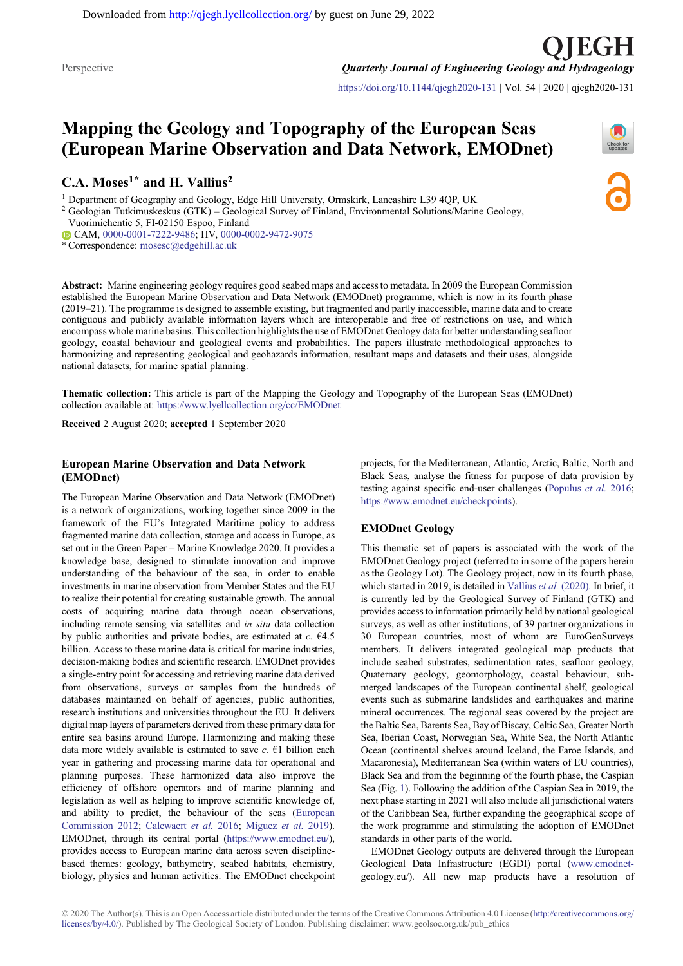Perspective **Quarterly Journal of Engineering Geology and Hydrogeology** 

<https://doi.org/10.1144/qjegh2020-131> | Vol. 54 | 2020 | qjegh2020-131

# Mapping the Geology and Topography of the European Seas (European Marine Observation and Data Network, EMODnet)

C.A. Moses<sup>1\*</sup> and H. Vallius<sup>2</sup>

<sup>1</sup> Department of Geography and Geology, Edge Hill University, Ormskirk, Lancashire L39 4QP, UK

<sup>2</sup> Geologian Tutkimuskeskus (GTK) – Geological Survey of Finland, Environmental Solutions/Marine Geology,

Vuorimiehentie 5, FI-02150 Espoo, Finland

CAM, [0000-0001-7222-9486](http://orcid.org/0000-0001-7222-9486); HV, [0000-0002-9472-9075](http://orcid.org/0000-0002-9472-9075)

\* Correspondence: [mosesc@edgehill.ac.uk](mailto:mosesc@edgehill.ac.uk)

Abstract: Marine engineering geology requires good seabed maps and access to metadata. In 2009 the European Commission established the European Marine Observation and Data Network (EMODnet) programme, which is now in its fourth phase (2019–21). The programme is designed to assemble existing, but fragmented and partly inaccessible, marine data and to create contiguous and publicly available information layers which are interoperable and free of restrictions on use, and which encompass whole marine basins. This collection highlights the use of EMODnet Geology data for better understanding seafloor geology, coastal behaviour and geological events and probabilities. The papers illustrate methodological approaches to harmonizing and representing geological and geohazards information, resultant maps and datasets and their uses, alongside national datasets, for marine spatial planning.

Thematic collection: This article is part of the Mapping the Geology and Topography of the European Seas (EMODnet) collection available at: <https://www.lyellcollection.org/cc/EMODnet>

Received 2 August 2020; accepted 1 September 2020

## European Marine Observation and Data Network (EMODnet)

The European Marine Observation and Data Network (EMODnet) is a network of organizations, working together since 2009 in the framework of the EU's Integrated Maritime policy to address fragmented marine data collection, storage and access in Europe, as set out in the Green Paper – Marine Knowledge 2020. It provides a knowledge base, designed to stimulate innovation and improve understanding of the behaviour of the sea, in order to enable investments in marine observation from Member States and the EU to realize their potential for creating sustainable growth. The annual costs of acquiring marine data through ocean observations, including remote sensing via satellites and in situ data collection by public authorities and private bodies, are estimated at  $c$ .  $64.5$ billion. Access to these marine data is critical for marine industries, decision-making bodies and scientific research. EMODnet provides a single-entry point for accessing and retrieving marine data derived from observations, surveys or samples from the hundreds of databases maintained on behalf of agencies, public authorities, research institutions and universities throughout the EU. It delivers digital map layers of parameters derived from these primary data for entire sea basins around Europe. Harmonizing and making these data more widely available is estimated to save  $c$ .  $\epsilon$ 1 billion each year in gathering and processing marine data for operational and planning purposes. These harmonized data also improve the efficiency of offshore operators and of marine planning and legislation as well as helping to improve scientific knowledge of, and ability to predict, the behaviour of the seas ([European](#page-3-0) [Commission 2012;](#page-3-0) [Calewaert](#page-3-0) et al. 2016; [Míguez](#page-4-0) et al. 2019). EMODnet, through its central portal ([https://www.emodnet.eu/\)](https://www.emodnet.eu/), provides access to European marine data across seven disciplinebased themes: geology, bathymetry, seabed habitats, chemistry, biology, physics and human activities. The EMODnet checkpoint

projects, for the Mediterranean, Atlantic, Arctic, Baltic, North and Black Seas, analyse the fitness for purpose of data provision by testing against specific end-user challenges [\(Populus](#page-4-0) et al. 2016; <https://www.emodnet.eu/checkpoints>).

## EMODnet Geology

This thematic set of papers is associated with the work of the EMODnet Geology project (referred to in some of the papers herein as the Geology Lot). The Geology project, now in its fourth phase, which started in 2019, is detailed in [Vallius](#page-4-0) et al. (2020). In brief, it is currently led by the Geological Survey of Finland (GTK) and provides access to information primarily held by national geological surveys, as well as other institutions, of 39 partner organizations in 30 European countries, most of whom are EuroGeoSurveys members. It delivers integrated geological map products that include seabed substrates, sedimentation rates, seafloor geology, Quaternary geology, geomorphology, coastal behaviour, submerged landscapes of the European continental shelf, geological events such as submarine landslides and earthquakes and marine mineral occurrences. The regional seas covered by the project are the Baltic Sea, Barents Sea, Bay of Biscay, Celtic Sea, Greater North Sea, Iberian Coast, Norwegian Sea, White Sea, the North Atlantic Ocean (continental shelves around Iceland, the Faroe Islands, and Macaronesia), Mediterranean Sea (within waters of EU countries), Black Sea and from the beginning of the fourth phase, the Caspian Sea (Fig. [1](#page-1-0)). Following the addition of the Caspian Sea in 2019, the next phase starting in 2021 will also include all jurisdictional waters of the Caribbean Sea, further expanding the geographical scope of the work programme and stimulating the adoption of EMODnet standards in other parts of the world.

EMODnet Geology outputs are delivered through the European Geological Data Infrastructure (EGDI) portal ([www.emodnet](http://www.emodnet-)geology.eu/). All new map products have a resolution of



) I EGH

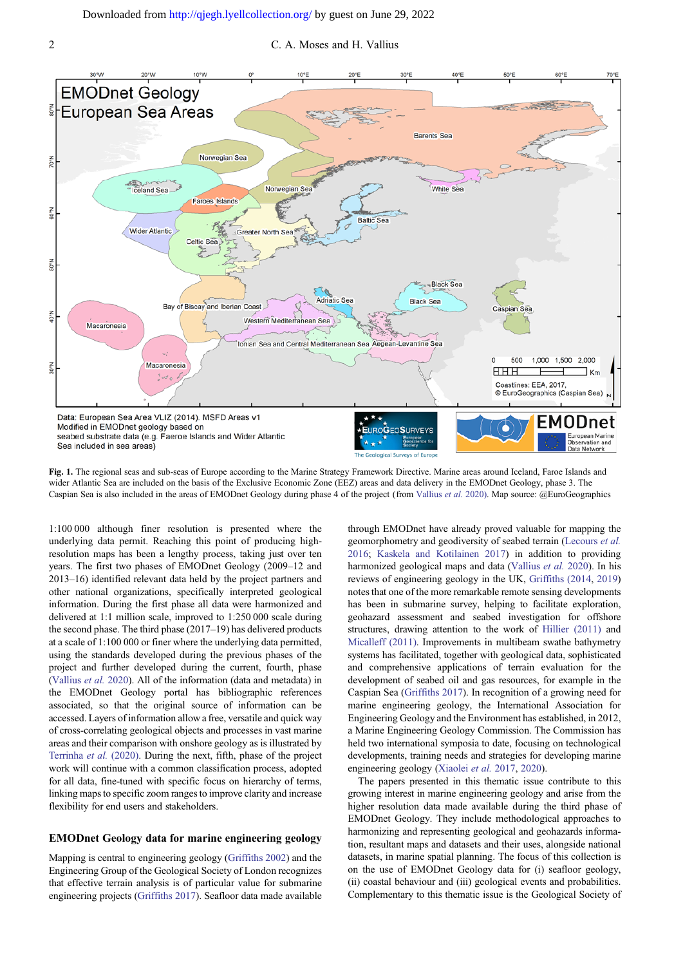<span id="page-1-0"></span>2 C. A. Moses and H. Vallius



Fig. 1. The regional seas and sub-seas of Europe according to the Marine Strategy Framework Directive. Marine areas around Iceland, Faroe Islands and wider Atlantic Sea are included on the basis of the Exclusive Economic Zone (EEZ) areas and data delivery in the EMODnet Geology, phase 3. The Caspian Sea is also included in the areas of EMODnet Geology during phase 4 of the project (from [Vallius](#page-4-0) et al. 2020). Map source: @EuroGeographics

1:100 000 although finer resolution is presented where the underlying data permit. Reaching this point of producing highresolution maps has been a lengthy process, taking just over ten years. The first two phases of EMODnet Geology (2009–12 and 2013–16) identified relevant data held by the project partners and other national organizations, specifically interpreted geological information. During the first phase all data were harmonized and delivered at 1:1 million scale, improved to 1:250 000 scale during the second phase. The third phase (2017–19) has delivered products at a scale of 1:100 000 or finer where the underlying data permitted, using the standards developed during the previous phases of the project and further developed during the current, fourth, phase [\(Vallius](#page-4-0) et al. 2020). All of the information (data and metadata) in the EMODnet Geology portal has bibliographic references associated, so that the original source of information can be accessed. Layers of information allow a free, versatile and quick way of cross-correlating geological objects and processes in vast marine areas and their comparison with onshore geology as is illustrated by [Terrinha](#page-4-0) et al. (2020). During the next, fifth, phase of the project work will continue with a common classification process, adopted for all data, fine-tuned with specific focus on hierarchy of terms, linking maps to specific zoom ranges to improve clarity and increase flexibility for end users and stakeholders.

#### EMODnet Geology data for marine engineering geology

Mapping is central to engineering geology ([Griffiths 2002](#page-3-0)) and the Engineering Group of the Geological Society of London recognizes that effective terrain analysis is of particular value for submarine engineering projects ([Griffiths 2017\)](#page-3-0). Seafloor data made available

through EMODnet have already proved valuable for mapping the geomorphometry and geodiversity of seabed terrain ([Lecours](#page-4-0) et al. [2016](#page-4-0); [Kaskela and Kotilainen 2017\)](#page-4-0) in addition to providing harmonized geological maps and data ([Vallius](#page-4-0) et al. 2020). In his reviews of engineering geology in the UK, [Griffiths \(2014,](#page-3-0) [2019\)](#page-3-0) notes that one of the more remarkable remote sensing developments has been in submarine survey, helping to facilitate exploration, geohazard assessment and seabed investigation for offshore structures, drawing attention to the work of [Hillier \(2011\)](#page-4-0) and [Micalleff \(2011\)](#page-4-0). Improvements in multibeam swathe bathymetry systems has facilitated, together with geological data, sophisticated and comprehensive applications of terrain evaluation for the development of seabed oil and gas resources, for example in the Caspian Sea ([Griffiths 2017\)](#page-3-0). In recognition of a growing need for marine engineering geology, the International Association for Engineering Geology and the Environment has established, in 2012, a Marine Engineering Geology Commission. The Commission has held two international symposia to date, focusing on technological developments, training needs and strategies for developing marine engineering geology [\(Xiaolei](#page-4-0) et al. 2017, [2020](#page-4-0)).

The papers presented in this thematic issue contribute to this growing interest in marine engineering geology and arise from the higher resolution data made available during the third phase of EMODnet Geology. They include methodological approaches to harmonizing and representing geological and geohazards information, resultant maps and datasets and their uses, alongside national datasets, in marine spatial planning. The focus of this collection is on the use of EMODnet Geology data for (i) seafloor geology, (ii) coastal behaviour and (iii) geological events and probabilities. Complementary to this thematic issue is the Geological Society of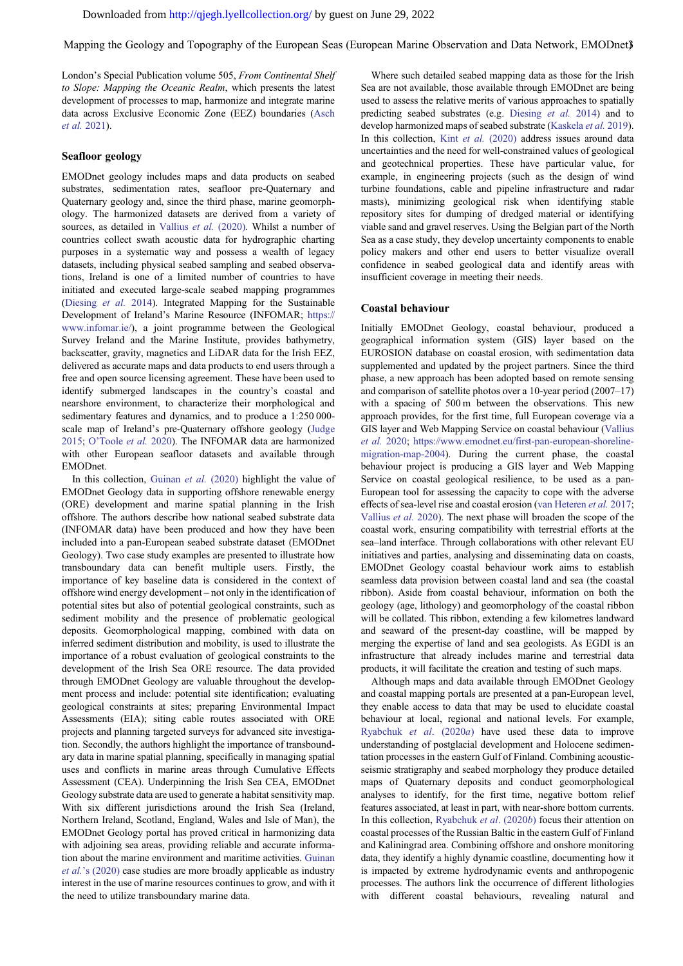Mapping the Geology and Topography of the European Seas (European Marine Observation and Data Network, EMODnet)

London's Special Publication volume 505, From Continental Shelf to Slope: Mapping the Oceanic Realm, which presents the latest development of processes to map, harmonize and integrate marine data across Exclusive Economic Zone (EEZ) boundaries ([Asch](#page-3-0) [et al.](#page-3-0) 2021).

## Seafloor geology

EMODnet geology includes maps and data products on seabed substrates, sedimentation rates, seafloor pre-Quaternary and Quaternary geology and, since the third phase, marine geomorphology. The harmonized datasets are derived from a variety of sources, as detailed in [Vallius](#page-4-0) et al. (2020). Whilst a number of countries collect swath acoustic data for hydrographic charting purposes in a systematic way and possess a wealth of legacy datasets, including physical seabed sampling and seabed observations, Ireland is one of a limited number of countries to have initiated and executed large-scale seabed mapping programmes ([Diesing](#page-3-0) et al. 2014). Integrated Mapping for the Sustainable Development of Ireland's Marine Resource (INFOMAR; [https://](https://www.infomar.ie/) [www.infomar.ie/](https://www.infomar.ie/)), a joint programme between the Geological Survey Ireland and the Marine Institute, provides bathymetry, backscatter, gravity, magnetics and LiDAR data for the Irish EEZ, delivered as accurate maps and data products to end users through a free and open source licensing agreement. These have been used to identify submerged landscapes in the country's coastal and nearshore environment, to characterize their morphological and sedimentary features and dynamics, and to produce a 1:250 000 scale map of Ireland's pre-Quaternary offshore geology [\(Judge](#page-4-0) [2015;](#page-4-0) O'[Toole](#page-4-0) et al. 2020). The INFOMAR data are harmonized with other European seafloor datasets and available through EMODnet.

In this collection, [Guinan](#page-4-0) et al. (2020) highlight the value of EMODnet Geology data in supporting offshore renewable energy (ORE) development and marine spatial planning in the Irish offshore. The authors describe how national seabed substrate data (INFOMAR data) have been produced and how they have been included into a pan-European seabed substrate dataset (EMODnet Geology). Two case study examples are presented to illustrate how transboundary data can benefit multiple users. Firstly, the importance of key baseline data is considered in the context of offshore wind energy development – not only in the identification of potential sites but also of potential geological constraints, such as sediment mobility and the presence of problematic geological deposits. Geomorphological mapping, combined with data on inferred sediment distribution and mobility, is used to illustrate the importance of a robust evaluation of geological constraints to the development of the Irish Sea ORE resource. The data provided through EMODnet Geology are valuable throughout the development process and include: potential site identification; evaluating geological constraints at sites; preparing Environmental Impact Assessments (EIA); siting cable routes associated with ORE projects and planning targeted surveys for advanced site investigation. Secondly, the authors highlight the importance of transboundary data in marine spatial planning, specifically in managing spatial uses and conflicts in marine areas through Cumulative Effects Assessment (CEA). Underpinning the Irish Sea CEA, EMODnet Geology substrate data are used to generate a habitat sensitivity map. With six different jurisdictions around the Irish Sea (Ireland, Northern Ireland, Scotland, England, Wales and Isle of Man), the EMODnet Geology portal has proved critical in harmonizing data with adjoining sea areas, providing reliable and accurate information about the marine environment and maritime activities. [Guinan](#page-4-0) et al.'[s \(2020\)](#page-4-0) case studies are more broadly applicable as industry interest in the use of marine resources continues to grow, and with it the need to utilize transboundary marine data.

Where such detailed seabed mapping data as those for the Irish Sea are not available, those available through EMODnet are being used to assess the relative merits of various approaches to spatially predicting seabed substrates (e.g. [Diesing](#page-3-0) et al. 2014) and to develop harmonized maps of seabed substrate [\(Kaskela](#page-4-0) *et al.* 2019). In this collection, Kint et al. [\(2020\)](#page-4-0) address issues around data uncertainties and the need for well-constrained values of geological and geotechnical properties. These have particular value, for example, in engineering projects (such as the design of wind turbine foundations, cable and pipeline infrastructure and radar masts), minimizing geological risk when identifying stable repository sites for dumping of dredged material or identifying viable sand and gravel reserves. Using the Belgian part of the North Sea as a case study, they develop uncertainty components to enable policy makers and other end users to better visualize overall confidence in seabed geological data and identify areas with insufficient coverage in meeting their needs.

#### Coastal behaviour

Initially EMODnet Geology, coastal behaviour, produced a geographical information system (GIS) layer based on the EUROSION database on coastal erosion, with sedimentation data supplemented and updated by the project partners. Since the third phase, a new approach has been adopted based on remote sensing and comparison of satellite photos over a 10-year period (2007–17) with a spacing of 500 m between the observations. This new approach provides, for the first time, full European coverage via a GIS layer and Web Mapping Service on coastal behaviour [\(Vallius](#page-4-0) [et al.](#page-4-0) 2020; [https://www.emodnet.eu/first-pan-european-shoreline](https://www.emodnet.eu/first-pan-european-shoreline-migration-map-2004)[migration-map-2004](https://www.emodnet.eu/first-pan-european-shoreline-migration-map-2004)). During the current phase, the coastal behaviour project is producing a GIS layer and Web Mapping Service on coastal geological resilience, to be used as a pan-European tool for assessing the capacity to cope with the adverse effects of sea-level rise and coastal erosion ([van Heteren](#page-4-0) et al. 2017; [Vallius](#page-4-0) et al. 2020). The next phase will broaden the scope of the coastal work, ensuring compatibility with terrestrial efforts at the sea–land interface. Through collaborations with other relevant EU initiatives and parties, analysing and disseminating data on coasts, EMODnet Geology coastal behaviour work aims to establish seamless data provision between coastal land and sea (the coastal ribbon). Aside from coastal behaviour, information on both the geology (age, lithology) and geomorphology of the coastal ribbon will be collated. This ribbon, extending a few kilometres landward and seaward of the present-day coastline, will be mapped by merging the expertise of land and sea geologists. As EGDI is an infrastructure that already includes marine and terrestrial data products, it will facilitate the creation and testing of such maps.

Although maps and data available through EMODnet Geology and coastal mapping portals are presented at a pan-European level, they enable access to data that may be used to elucidate coastal behaviour at local, regional and national levels. For example, [Ryabchuk](#page-4-0) et al. (2020a) have used these data to improve understanding of postglacial development and Holocene sedimentation processes in the eastern Gulf of Finland. Combining acousticseismic stratigraphy and seabed morphology they produce detailed maps of Quaternary deposits and conduct geomorphological analyses to identify, for the first time, negative bottom relief features associated, at least in part, with near-shore bottom currents. In this collection, [Ryabchuk](#page-4-0) et al. (2020b) focus their attention on coastal processes of the Russian Baltic in the eastern Gulf of Finland and Kaliningrad area. Combining offshore and onshore monitoring data, they identify a highly dynamic coastline, documenting how it is impacted by extreme hydrodynamic events and anthropogenic processes. The authors link the occurrence of different lithologies with different coastal behaviours, revealing natural and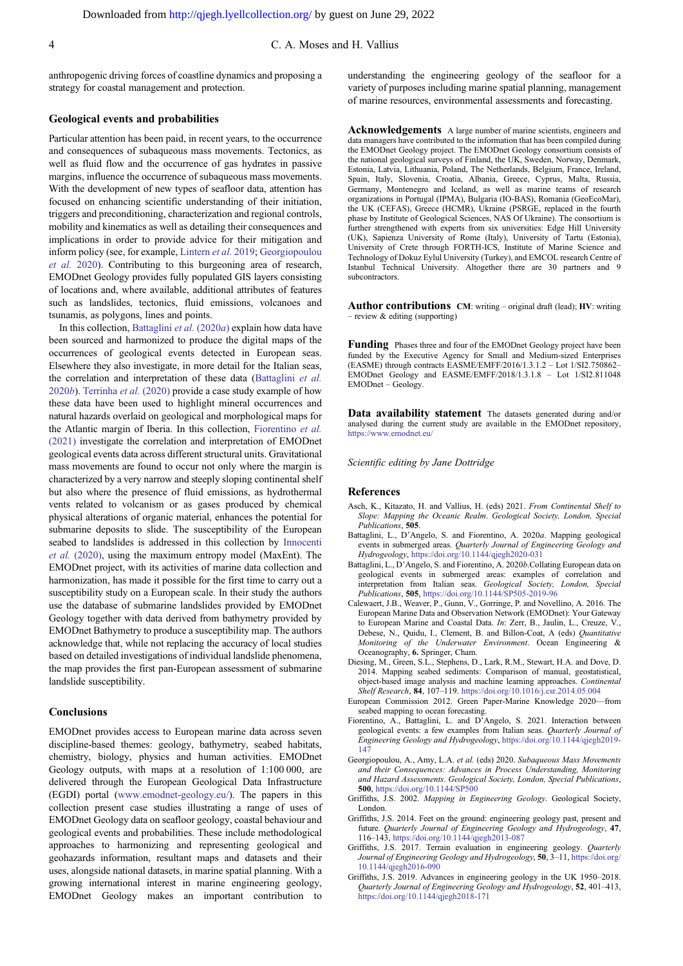<span id="page-3-0"></span>4 C. A. Moses and H. Vallius

anthropogenic driving forces of coastline dynamics and proposing a strategy for coastal management and protection.

#### Geological events and probabilities

Particular attention has been paid, in recent years, to the occurrence and consequences of subaqueous mass movements. Tectonics, as well as fluid flow and the occurrence of gas hydrates in passive margins, influence the occurrence of subaqueous mass movements. With the development of new types of seafloor data, attention has focused on enhancing scientific understanding of their initiation, triggers and preconditioning, characterization and regional controls, mobility and kinematics as well as detailing their consequences and implications in order to provide advice for their mitigation and inform policy (see, for example, [Lintern](#page-4-0) et al. 2019; Georgiopoulou et al. 2020). Contributing to this burgeoning area of research, EMODnet Geology provides fully populated GIS layers consisting of locations and, where available, additional attributes of features such as landslides, tectonics, fluid emissions, volcanoes and tsunamis, as polygons, lines and points.

In this collection, Battaglini et al. (2020a) explain how data have been sourced and harmonized to produce the digital maps of the occurrences of geological events detected in European seas. Elsewhere they also investigate, in more detail for the Italian seas, the correlation and interpretation of these data (Battaglini et al. 2020b). [Terrinha](#page-4-0) et al. (2020) provide a case study example of how these data have been used to highlight mineral occurrences and natural hazards overlaid on geological and morphological maps for the Atlantic margin of Iberia. In this collection, Fiorentino et al. (2021) investigate the correlation and interpretation of EMODnet geological events data across different structural units. Gravitational mass movements are found to occur not only where the margin is characterized by a very narrow and steeply sloping continental shelf but also where the presence of fluid emissions, as hydrothermal vents related to volcanism or as gases produced by chemical physical alterations of organic material, enhances the potential for submarine deposits to slide. The susceptibility of the European seabed to landslides is addressed in this collection by [Innocenti](#page-4-0) et al. [\(2020\),](#page-4-0) using the maximum entropy model (MaxEnt). The EMODnet project, with its activities of marine data collection and harmonization, has made it possible for the first time to carry out a susceptibility study on a European scale. In their study the authors use the database of submarine landslides provided by EMODnet Geology together with data derived from bathymetry provided by EMODnet Bathymetry to produce a susceptibility map. The authors acknowledge that, while not replacing the accuracy of local studies based on detailed investigations of individual landslide phenomena, the map provides the first pan-European assessment of submarine landslide susceptibility.

## Conclusions

EMODnet provides access to European marine data across seven discipline-based themes: geology, bathymetry, seabed habitats, chemistry, biology, physics and human activities. EMODnet Geology outputs, with maps at a resolution of 1:100 000, are delivered through the European Geological Data Infrastructure (EGDI) portal ([www.emodnet-geology.eu/\)](http://www.emodnet-geology.eu/). The papers in this collection present case studies illustrating a range of uses of EMODnet Geology data on seafloor geology, coastal behaviour and geological events and probabilities. These include methodological approaches to harmonizing and representing geological and geohazards information, resultant maps and datasets and their uses, alongside national datasets, in marine spatial planning. With a growing international interest in marine engineering geology, EMODnet Geology makes an important contribution to understanding the engineering geology of the seafloor for a variety of purposes including marine spatial planning, management of marine resources, environmental assessments and forecasting.

Acknowledgements A large number of marine scientists, engineers and data managers have contributed to the information that has been compiled during the EMODnet Geology project. The EMODnet Geology consortium consists of the national geological surveys of Finland, the UK, Sweden, Norway, Denmark, Estonia, Latvia, Lithuania, Poland, The Netherlands, Belgium, France, Ireland, Spain, Italy, Slovenia, Croatia, Albania, Greece, Cyprus, Malta, Russia, Germany, Montenegro and Iceland, as well as marine teams of research organizations in Portugal (IPMA), Bulgaria (IO-BAS), Romania (GeoEcoMar), the UK (CEFAS), Greece (HCMR), Ukraine (PSRGE, replaced in the fourth phase by Institute of Geological Sciences, NAS Of Ukraine). The consortium is further strengthened with experts from six universities: Edge Hill University (UK), Sapienza University of Rome (Italy), University of Tartu (Estonia), University of Crete through FORTH-ICS, Institute of Marine Science and Technology of Dokuz Eylul University (Turkey), and EMCOL research Centre of Istanbul Technical University. Altogether there are 30 partners and 9 subcontractors.

Author contributions CM: writing – original draft (lead); HV: writing – review & editing (supporting)

Funding Phases three and four of the EMODnet Geology project have been funded by the Executive Agency for Small and Medium-sized Enterprises (EASME) through contracts EASME/EMFF/2016/1.3.1.2 – Lot 1/SI2.750862– EMODnet Geology and EASME/EMFF/2018/1.3.1.8 – Lot 1/SI2.811048 EMODnet – Geology.

Data availability statement The datasets generated during and/or analysed during the current study are available in the EMODnet repository, <https://www.emodnet.eu/>

Scientific editing by Jane Dottridge

#### References

- Asch, K., Kitazato, H. and Vallius, H. (eds) 2021. From Continental Shelf to Slope: Mapping the Oceanic Realm. Geological Society, London, Special Publications, 505.
- Battaglini, L., D'Angelo, S. and Fiorentino, A. 2020a. Mapping geological events in submerged areas. Quarterly Journal of Engineering Geology and Hydrogeology, <https://doi.org/10.1144/qjegh2020-031>
- Battaglini, L., D'Angelo, S. and Fiorentino, A. 2020b.Collating European data on geological events in submerged areas: examples of correlation and interpretation from Italian seas. Geological Society, London, Special Publications, 505, <https://doi.org/10.1144/SP505-2019-96>
- Calewaert, J.B., Weaver, P., Gunn, V., Gorringe, P. and Novellino, A. 2016. The European Marine Data and Observation Network (EMODnet): Your Gateway to European Marine and Coastal Data. In: Zerr, B., Jaulin, L., Creuze, V., Debese, N., Quidu, I., Clement, B. and Billon-Coat, A (eds) Quantitative Monitoring of the Underwater Environment. Ocean Engineering & Oceanography, 6. Springer, Cham.
- Diesing, M., Green, S.L., Stephens, D., Lark, R.M., Stewart, H.A. and Dove, D. 2014. Mapping seabed sediments: Comparison of manual, geostatistical, object-based image analysis and machine learning approaches. Continental Shelf Research, 84, 107–119. <https://doi.org/10.1016/j.csr.2014.05.004>
- European Commission 2012. Green Paper-Marine Knowledge 2020—from seabed mapping to ocean forecasting.
- Fiorentino, A., Battaglini, L. and D'Angelo, S. 2021. Interaction between geological events: a few examples from Italian seas. Quarterly Journal of Engineering Geology and Hydrogeology, [https://doi.org/10.1144/qjegh2019-](https://doi.org/10.1144/qjegh2019-147) [147](https://doi.org/10.1144/qjegh2019-147)
- Georgiopoulou, A., Amy, L.A. et al. (eds) 2020. Subaqueous Mass Movements and their Consequences: Advances in Process Understanding, Monitoring and Hazard Assessments. Geological Society, London, Special Publications, 500, <https://doi.org/10.1144/SP500>
- Griffiths, J.S. 2002. Mapping in Engineering Geology. Geological Society, London.
- Griffiths, J.S. 2014. Feet on the ground: engineering geology past, present and future. Quarterly Journal of Engineering Geology and Hydrogeology, 47, 116–143, <https://doi.org/10.1144/qjegh2013-087>
- Griffiths, J.S. 2017. Terrain evaluation in engineering geology. Quarterly Journal of Engineering Geology and Hydrogeology, 50, 3-11, [https://doi.org/](https://doi.org/10.1144/qjegh2016-090) [10.1144/qjegh2016-090](https://doi.org/10.1144/qjegh2016-090)
- Griffiths, J.S. 2019. Advances in engineering geology in the UK 1950–2018. Quarterly Journal of Engineering Geology and Hydrogeology, 52, 401–413, <https://doi.org/10.1144/qjegh2018-171>